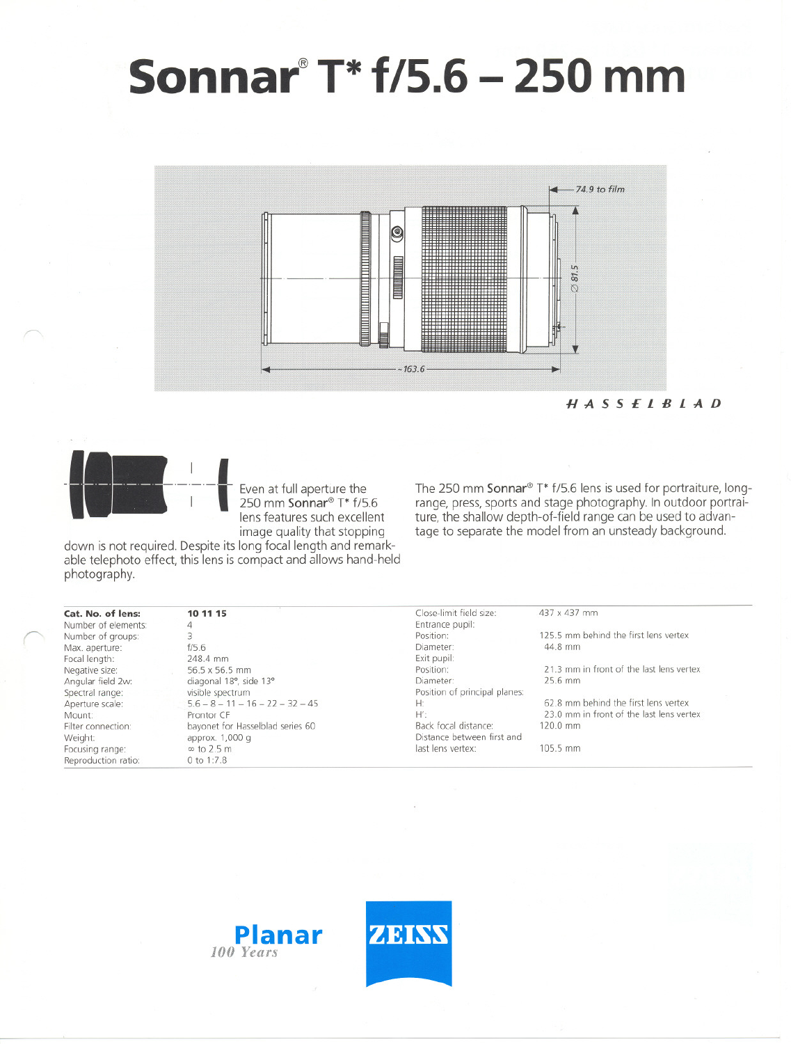## **Sonnar@T\* 1/5.6 - 250 mm**



HASSElBlAD



,~

r

Even at full aperture the<br>250 mm Sonnar® T\*  $f/5.6$ lens features such excellent

down is not required. Despite its long focal length and remark able telephoto effect, this lens is compact and allows hand-held photography.

| The 250 mm Sonnar <sup>®</sup> T* f/5.6 lens is used for portraiture, long- |
|-----------------------------------------------------------------------------|
|                                                                             |
| range, press, sports and stage photography. In outdoor portrai-             |
| ture, the shallow depth-of-field range can be used to advan-                |
| tage to separate the model from an unsteady background.                     |
|                                                                             |

| Cat. No. of lens:   | 10 11 15                           | Close-limit field size:       | 437 x 437 mm                             |  |
|---------------------|------------------------------------|-------------------------------|------------------------------------------|--|
| Number of elements: |                                    | Entrance pupil:               |                                          |  |
| Number of groups:   |                                    | Position:                     | 125.5 mm behind the first lens vertex    |  |
| Max. aperture:      | f/5.6                              | Diameter:                     | 44.8 mm                                  |  |
| Focal length:       | 248.4 mm                           | Exit pupil:                   |                                          |  |
| Negative size:      | $56.5 \times 56.5$ mm              | Position:                     | 21.3 mm in front of the last lens vertex |  |
| Angular field 2w:   | diagonal 18°, side 13°             | Diameter:                     | 25.6 mm                                  |  |
| Spectral range:     | visible spectrum                   | Position of principal planes: |                                          |  |
| Aperture scale:     | $5.6 - 8 - 11 - 16 - 22 - 32 - 45$ | Н:                            | 62.8 mm behind the first lens vertex     |  |
| Mount:              | Prontor CF                         | $H^{\prime}$                  | 23.0 mm in front of the last lens vertex |  |
| Filter connection:  | bayonet for Hasselblad series 60   | Back focal distance:          | 120.0 mm                                 |  |
| Weight:             | approx. 1,000 g                    | Distance between first and    |                                          |  |
| Focusing range:     | $\infty$ to 2.5 m                  | last lens vertex:             | 105.5 mm                                 |  |
| Reproduction ratio: | 0 to 1:7.8                         |                               |                                          |  |